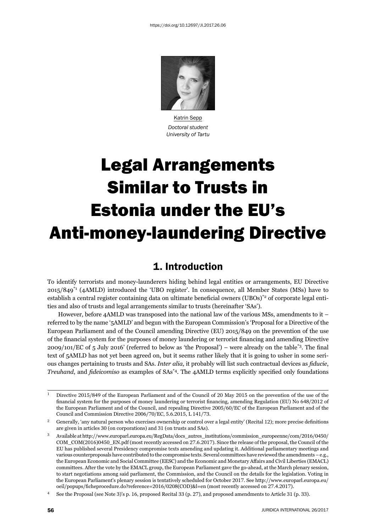

Katrin Sepp *Doctoral student University of Tartu*

# Legal Arrangements Similar to Trusts in Estonia under the EU's Anti-money-laundering Directive

## 1. Introduction

To identify terrorists and money-launderers hiding behind legal entities or arrangements, EU Directive 2015/849\*1 (4AMLD) introduced the 'UBO register'. In consequence, all Member States (MSs) have to establish a central register containing data on ultimate beneficial owners (UBOs)<sup>\*2</sup> of corporate legal entities and also of trusts and legal arrangements similar to trusts (hereinafter 'SAs').

However, before 4AMLD was transposed into the national law of the various MSs, amendments to it – referred to by the name '5AMLD' and begun with the European Commission's 'Proposal for a Directive of the European Parliament and of the Council amending Directive (EU) 2015/849 on the prevention of the use of the financial system for the purposes of money laundering or terrorist financing and amending Directive  $2009/101/EC$  of 5 July 2016' (referred to below as 'the Proposal') – were already on the table<sup>\*3</sup>. The final text of 5AMLD has not yet been agreed on, but it seems rather likely that it is going to usher in some serious changes pertaining to trusts and SAs. *Inter alia*, it probably will list such contractual devices as *fi ducie*, *Treuhand*, and *fideicomiso* as examples of SAs<sup>\*4</sup>. The 4AMLD terms explicitly specified only foundations

<sup>&</sup>lt;sup>1</sup> Directive 2015/849 of the European Parliament and of the Council of 20 May 2015 on the prevention of the use of the financial system for the purposes of money laundering or terrorist financing, amending Regulation (EU) No 648/2012 of the European Parliament and of the Council, and repealing Directive 2005/60/EC of the European Parliament and of the Council and Commission Directive 2006/70/EC, 5.6.2015, L 141/73.

<sup>&</sup>lt;sup>2</sup> Generally, 'any natural person who exercises ownership or control over a legal entity' (Recital 12); more precise definitions are given in articles 30 (on corporations) and 31 (on trusts and SAs).

Available at http://www.europarl.europa.eu/RegData/docs\_autres\_institutions/commission\_europeenne/com/2016/0450/ COM\_COM(2016)0450\_EN.pdf (most recently accessed on 27.6.2017). Since the release of the proposal, the Council of the EU has published several Presidency compromise texts amending and updating it. Additional parliamentary meetings and various counterproposals have contributed to the compromise texts. Several committees have reviewed the amendments – e.g., the European Economic and Social Committee (EESC) and the Economic and Monetary Affairs and Civil Liberties (EMACL) committees. After the vote by the EMACL group, the European Parliament gave the go-ahead, at the March plenary session, to start negotiations among said parliament, the Commission, and the Council on the details for the legislation. Voting in the European Parliament's plenary session is tentatively scheduled for October 2017. See http://www.europarl.europa.eu/ oeil/popups/ficheprocedure.do?reference=2016/0208(COD)&l=en (most recently accessed on 27.4.2017).

See the Proposal (see Note 3)'s p. 16, proposed Recital 33 (p. 27), and proposed amendments to Article 31 (p. 33).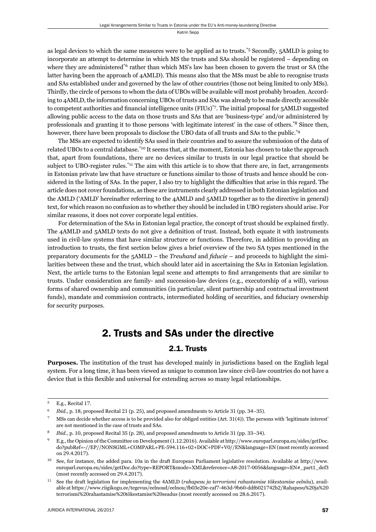as legal devices to which the same measures were to be applied as to trusts.\*5 Secondly, 5AMLD is going to incorporate an attempt to determine in which MS the trusts and SAs should be registered – depending on where they are administered<sup>\*6</sup> rather than which MS's law has been chosen to govern the trust or SA (the latter having been the approach of 4AMLD). This means also that the MSs must be able to recognise trusts and SAs established under and governed by the law of other countries (those not being limited to only MSs). Thirdly, the circle of persons to whom the data of UBOs will be available will most probably broaden. According to 4AMLD, the information concerning UBOs of trusts and SAs was already to be made directly accessible to competent authorities and financial intelligence units (FIUs)\*7. The initial proposal for 5AMLD suggested allowing public access to the data on those trusts and SAs that are 'business-type' and/or administered by professionals and granting it to those persons 'with legitimate interest' in the case of others.\*8 Since then, however, there have been proposals to disclose the UBO data of all trusts and SAs to the public.<sup>\*9</sup>

The MSs are expected to identify SAs used in their countries and to assure the submission of the data of related UBOs to a central database.\*10 It seems that, at the moment, Estonia has chosen to take the approach that, apart from foundations, there are no devices similar to trusts in our legal practice that should be subject to UBO-register rules.<sup>\*11</sup> The aim with this article is to show that there are, in fact, arrangements in Estonian private law that have structure or functions similar to those of trusts and hence should be considered in the listing of SAs. In the paper, I also try to highlight the difficulties that arise in this regard. The article does not cover foundations, as these are instruments clearly addressed in both Estonian legislation and the AMLD ('AMLD' hereinafter referring to the 4AMLD and 5AMLD together as to the directive in general) text, for which reason no confusion as to whether they should be included in UBO registers should arise. For similar reasons, it does not cover corporate legal entities.

For determination of the SAs in Estonian legal practice, the concept of trust should be explained firstly. The 4AMLD and 5AMLD texts do not give a definition of trust. Instead, both equate it with instruments used in civil-law systems that have similar structure or functions. Therefore, in addition to providing an introduction to trusts, the first section below gives a brief overview of the two SA types mentioned in the preparatory documents for the 5AMLD – the *Treuhand* and *fi ducie* – and proceeds to highlight the similarities between these and the trust, which should later aid in ascertaining the SAs in Estonian legislation. Next, the article turns to the Estonian legal scene and attempts to find arrangements that are similar to trusts. Under consideration are family- and succession-law devices (e.g., executorship of a will), various forms of shared ownership and communities (in particular, silent partnership and contractual investment funds), mandate and commission contracts, intermediated holding of securities, and fiduciary ownership for security purposes.

## 2. Trusts and SAs under the directive

#### 2.1. Trusts

**Purposes.** The institution of the trust has developed mainly in jurisdictions based on the English legal system. For a long time, it has been viewed as unique to common law since civil-law countries do not have a device that is this flexible and universal for extending across so many legal relationships.

<sup>&</sup>lt;sup>5</sup> E.g., Recital 17.

<sup>&</sup>lt;sup>6</sup> *Ibid.*, p. 18, proposed Recital 21 (p. 25), and proposed amendments to Article 31 (pp. 34–35).

MSs can decide whether access is to be provided also for obliged entities (Art. 31(4)). The persons with 'legitimate interest' are not mentioned in the case of trusts and SAs.

*Ibid.*, p. 10, proposed Recital 35 (p. 28), and proposed amendments to Article 31 (pp. 33–34).

E.g., the Opinion of the Committee on Development (1.12.2016). Available at http://www.europarl.europa.eu/sides/getDoc. do?pubRef=-//EP//NONSGML+COMPARL+PE-594.116+02+DOC+PDF+V0//EN&language=EN (most recently accessed on 29.4.2017).

 $10$  See, for instance, the added para. 10a in the draft European Parliament legislative resolution. Available at http://www. europarl.europa.eu/sides/getDoc.do?type=REPORT&mode=XML&reference=A8-2017-0056&language=EN#\_part1\_def3 (most recently accessed on 29.4.2017).

ɲɲ See the draft legislation for implementing the ɵAMLD (*rahapesu ja terrorismi rahastamise tõkestamise eelnõu*), available at https://www.riigikogu.ee/tegevus/eelnoud/eelnou/fb03e20e-caf7-463d-9b60-ddf6021742b2/Rahapesu%20ja%20 terrorismi%20rahastamise%20tõkestamise%20seadus (most recently accessed on 28.6.2017).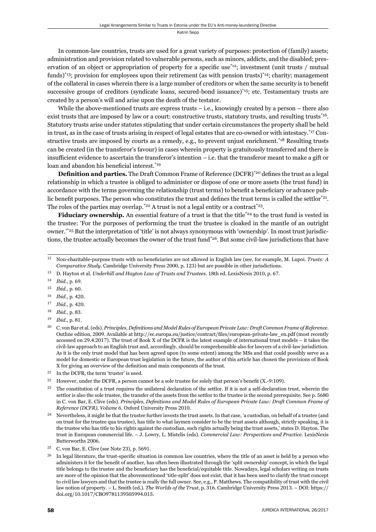In common-law countries, trusts are used for a great variety of purposes: protection of (family) assets; administration and provision related to vulnerable persons, such as minors, addicts, and the disabled; preservation of an object or appropriation of property for a specific use<sup>\*12</sup>; investment (unit trusts / mutual funds)\*13; provision for employees upon their retirement (as with pension trusts)\*14; charity; management of the collateral in cases wherein there is a large number of creditors or when the same security is to benefit successive groups of creditors (syndicate loans, secured-bond issuance)\*15; etc. Testamentary trusts are created by a person's will and arise upon the death of the testator.

While the above-mentioned trusts are express trusts  $-$  i.e., knowingly created by a person  $-$  there also exist trusts that are imposed by law or a court: constructive trusts, statutory trusts, and resulting trusts<sup>\*16</sup>. Statutory trusts arise under statutes stipulating that under certain circumstances the property shall be held in trust, as in the case of trusts arising in respect of legal estates that are co-owned or with intestacy.\*17 Constructive trusts are imposed by courts as a remedy, e.g., to prevent unjust enrichment.<sup>\*18</sup> Resulting trusts can be cre ated (in the transferor's favour) in cases wherein property is gratuitously transferred and there is insufficient evidence to ascertain the transferor's intention  $-$  i.e. that the transferor meant to make a gift or loan and abandon his beneficial interest.<sup>\*19</sup>

**Definition and parties.** The Draft Common Frame of Reference (DCFR)<sup>\*20</sup> defines the trust as a legal relationship in which a trustee is obliged to administer or dispose of one or more assets (the trust fund) in accordance with the terms governing the relationship (trust terms) to benefit a beneficiary or advance public benefit purposes. The person who constitutes the trust and defines the trust terms is called the settlor $^{*21}$ . The roles of the parties may overlap.<sup>\*22</sup> A trust is not a legal entity or a contract<sup>\*23</sup>.

**Fiduciary ownership.** An essential feature of a trust is that the title<sup>\*24</sup> to the trust fund is vested in the trustee: 'For the purposes of performing the trust the trustee is cloaked in the mantle of an outright owner.'\*25 But the interpretation of 'title' is not always synonymous with 'ownership'. In most trust jurisdictions, the trustee actually becomes the owner of the trust fund<sup>\*26</sup>. But some civil-law jurisdictions that have

- 17 *Ibid.*, p. 420.
- 18 *Ibid.*, p. 83.

<sup>&</sup>lt;sup>12</sup> Non-charitable-purpose trusts with no beneficiaries are not allowed in English law (see, for example, M. Lupoi. *Trusts: A Comparative Study*. Cambridge University Press 2000, p. 123) but are possible in other jurisdictions.

<sup>&</sup>lt;sup>13</sup> D. Hayton et al. *Underhill and Hayton Law of Trusts and Trustees*. 18th ed. LexisNexis 2010, p. 67.

<sup>14</sup> *Ibid.*, p. 69.

<sup>15</sup> *Ibid.*, p. 60.

<sup>16</sup> *Ibid.*, p. 420.

<sup>19</sup> *Ibid.*, p. 81.

<sup>&</sup>lt;sup>20</sup> C. von Bar et al. (eds). *Principles, Definitions and Model Rules of European Private Law: Draft Common Frame of Reference.* Outline edition, 2009. Available at http://ec.europa.eu/justice/contract/files/european-private-law\_en.pdf (most recently accessed on 29.4.2017). The trust of Book X of the DCFR is the latest example of international trust models – it takes the civil-law approach to an English trust and, accordingly, should be comprehensible also for lawyers of a civil-law jurisdiction. As it is the only trust model that has been agreed upon (to some extent) among the MSs and that could possibly serve as a model for domestic or European trust legislation in the future, the author of this article has chosen the provisions of Book X for giving an overview of the definition and main components of the trust.

<sup>&</sup>lt;sup>21</sup> In the DCFR, the term 'truster' is used.

<sup>&</sup>lt;sup>22</sup> However, under the DCFR, a person cannot be a sole trustee for solely that person's benefit  $(X.-9:109)$ .

<sup>&</sup>lt;sup>23</sup> The constitution of a trust requires the unilateral declaration of the settlor. If it is not a self-declaration trust, wherein the settlor is also the sole trustee, the transfer of the assets from the settlor to the trustee is the second prerequisite. See p. 5680 in C. von Bar, E. Clive (eds). *Principles, Definitions and Model Rules of European Private Law: Draft Common Frame of Reference (DCFR), Volume 6. Oxford University Press 2010.* 

<sup>&</sup>lt;sup>24</sup> Nevertheless, it might be that the trustee further invests the trust assets. In that case, 'a custodian, on behalf of a trustee (and on trust for the trustee qua trustee), has title to what laymen consider to be the trust assets although, strictly speaking, it is the trustee who has title to his rights against the custodian, such rights actually being the trust assets,' states D. Hayton. The trust in European commercial life. – J. Lowry, L. Mistelis (eds). *Commercial Law: Perspectives and Practice*. LexisNexis Butterworths 2006.

 $25$  C. von Bar, E. Clive (see Note 23), p.  $5691$ .

<sup>&</sup>lt;sup>26</sup> In legal literature, the trust-specific situation in common law countries, where the title of an asset is held by a person who administers it for the benefit of another, has often been illustrated through the 'split ownership' concept, in which the legal title belongs to the trustee and the beneficiary has the beneficial/equitable title. Nowadays, legal scholars writing on trusts are more of the opinion that the abovementioned 'title-split' does not exist, that it has been used to clarify the trust concept to civil law lawyers and that the trustee is really the full owner. See, e.g., P. Matthews. The compatibility of trust with the civil law notion of property. – L. Smith (ed.). *The Worlds of the Trust*, p. 316. Cambridge University Press 2013. – DOI: https:// doi.org/10.1017/CBO9781139505994.015.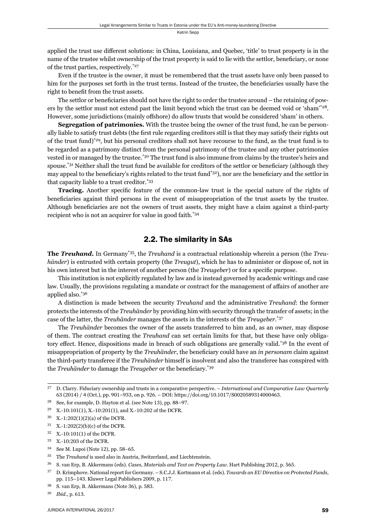applied the trust use different solutions: in China, Louisiana, and Quebec, 'title' to trust property is in the name of the trustee whilst ownership of the trust property is said to lie with the settlor, beneficiary, or none of the trust parties, respectively.\*27

Even if the trustee is the owner, it must be remembered that the trust assets have only been passed to him for the purposes set forth in the trust terms. Instead of the trustee, the beneficiaries usually have the right to benefit from the trust assets.

The settlor or beneficiaries should not have the right to order the trustee around – the retaining of powers by the settlor must not extend past the limit beyond which the trust can be deemed void or 'sham'\*28. However, some jurisdictions (mainly offshore) do allow trusts that would be considered 'sham' in others.

**Segregation of patrimonies.** With the trustee being the owner of the trust fund, he can be personally liable to satisfy trust debts (the first rule regarding creditors still is that they may satisfy their rights out of the trust fund)\*29, but his personal creditors shall not have recourse to the fund, as the trust fund is to be regarded as a patrimony distinct from the personal patrimony of the trustee and any other patrimonies vested in or managed by the trustee.\*30 The trust fund is also immune from claims by the trustee's heirs and spouse.<sup>\*31</sup> Neither shall the trust fund be available for creditors of the settlor or beneficiary (although they may appeal to the beneficiary's rights related to the trust fund<sup>\*32</sup>), nor are the beneficiary and the settlor in that capacity liable to a trust creditor.\*33

**Tracing.** Another specific feature of the common-law trust is the special nature of the rights of beneficiaries against third persons in the event of misappropriation of the trust assets by the trustee. Although beneficiaries are not the owners of trust assets, they might have a claim against a third-party recipient who is not an acquirer for value in good faith.\*34

#### 2.2. The similarity in SAs

**The** *Treuhand***.** In Germany\*35, the *Treuhand* is a contractual relationship wherein a person (the *Treuhänder*) is entrusted with certain property (the *Treugut*), which he has to administer or dispose of, not in his own interest but in the interest of another person (the *Treugeber*) or for a specific purpose.

This institution is not explicitly regulated by law and is instead governed by academic writings and case law. Usually, the provisions regulating a mandate or contract for the management of affairs of another are applied also.\*36

A distinction is made between the security *T reuhand* and the administrative *Treuhand*: the former protects the interests of the *Treuhänder* by providing him with security through the transfer of assets; in the case of the latter, the *Treuhänder* manages the assets in the interests of the *Treugeber*. \*37

The *Treuhänder* becomes the owner of the assets transferred to him and, as an owner, may dispose of them. The contract creating the *Treuhand* can set certain limits for that, but these have only obligatory effect. Hence, dispositions made in breach of such obligations are generally valid.\*38 In the event of misappropriation of property by the *Treuhänder*, the beneficiary could have an *in personam* claim against the third-party transferee if the *Treuhänder* himself is insolvent and also the transferee has conspired with the *Treuhänder* to damage the *Treugeber* or the beneficiary.<sup>\*39</sup>

- $31 X.-1:202(2)(b)(c)$  of the DCFR.
- 32 X.-10:101(1) of the DCFR.
- <sup>33</sup> X.-10:203 of the DCFR.
- <sup>34</sup> See M. Lupoi (Note 12), pp. 58–65.
- ɴɶ The *Treuhand* is used also in Austria, Switzerland, and Liechtenstein.

ɳɸ D. Clarry. Fiduciary ownership and trusts in a comparative perspective. – *International and Comparative Law Quarterly* 63 (2014) / 4 (Oct.), pp. 901–933, on p. 926. – DOI: https://doi.org/10.1017/S0020589314000463.

<sup>&</sup>lt;sup>28</sup> See, for example, D. Hayton et al. (see Note 13), pp. 88-97.

<sup>&</sup>lt;sup>29</sup> X.-10:101(1), X.-10:201(1), and X.-10:202 of the DCFR.

<sup>30</sup> X.-1:202(1)(2)(a) of the DCFR.

<sup>&</sup>lt;sup>36</sup> S. van Erp, B. Akkermans (eds). *Cases, Materials and Text on Property Law*. Hart Publishing 2012, p. 565.

ɴɸ D. Krimphove. National report for Germany. – S.C.J.J. Kortmann et al. (eds). *Towards an EU Directive on Protected Funds*, pp. 115-143. Kluwer Legal Publishers 2009, p. 117.

<sup>&</sup>lt;sup>38</sup> S. van Erp, B. Akkermans (Note 36), p. 583.

<sup>39</sup> *Ibid.*, p. 613.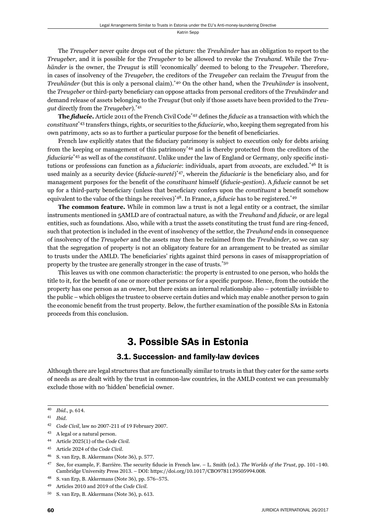The *Treugeber* never quite drops out of the picture: the *Treuhänder* has an obligation to report to the *Treugeber*, and it is possible for the *Treugeber* to be allowed to revoke the *Treuhand*. While the *Treuhänder* is the owner, the *Treugut* is still 'economically' deemed to belong to the *Treugeber*. Therefore, in cases of insolvency of the *Treugeber*, the creditors of the *Treugeber* can reclaim the *Treugut* from the *Treuhänder* (but this is only a personal claim).\*40 On the other hand, when the *Treuhänder* is insolvent, the *Treugeber* or third-party beneficiary can oppose attacks from personal creditors of the *Treuhänder* and demand release of assets belonging to the *Treugut* (but only if those assets have been provided to the *Treugut* directly from the *Treugeber*).\*41

**The** *fiducie*. Article 2011 of the French Civil Code<sup>\*42</sup> defines the *fiducie* as a transaction with which the *constituant*<sup>\*43</sup> transfers things, rights, or securities to the *fiduciarie*, who, keeping them segregated from his own patrimony, acts so as to further a particular purpose for the benefit of beneficiaries.

French law explicitly states that the fiduciary patrimony is subject to execution only for debts arising from the keeping or management of this patrimony\*44 and is thereby protected from the creditors of the *fiduciarie*<sup>\*45</sup> as well as of the *constituant*. Unlike under the law of England or Germany, only specific institutions or professions can function as a *fi duciarie*: individuals, apart from *avocats*, are excluded.\*46 It is used mainly as a security device (*fiducie-sureté*)<sup>\*47</sup>, wherein the *fiduciarie* is the beneficiary also, and for management purposes for the benefit of the *constituant* himself (*fiducie-gestion*). A *fiducie* cannot be set up for a third-party beneficiary (unless that beneficiary confers upon the *constituant* a benefit somehow equivalent to the value of the things he receives)\*48. In France, a *fi ducie* has to be registered.\*49

**The common feature.** While in common law a trust is not a legal entity or a contract, the similar instruments mentioned in 5AMLD are of contractual nature, as with the *Treuhand* and *fiducie*, or are legal entities, such as foundations. Also, while with a trust the assets constituting the trust fund are ring-fenced, such that protection is included in the event of insolvency of the settlor, the *Treuhand* ends in consequence of insolvency of the *Treugeber* and the assets may then be reclaimed from the *Treuhänder*, so we can say that the segregation of property is not an obligatory feature for an arrangement to be treated as similar to trusts under the AMLD. The beneficiaries' rights against third persons in cases of misappropriation of property by the trustee are generally stronger in the case of trusts.\*50

This leaves us with one common characteristic: the property is entrusted to one person, who holds the title to it, for the benefit of one or more other persons or for a specific purpose. Hence, from the outside the property has one person as an owner, but there exists an internal relationship also – potentially invisible to the public – which obliges the trustee to observe certain duties and which may enable another person to gain the economic benefit from the trust property. Below, the further examination of the possible SAs in Estonia proceeds from this conclusion.

## 3. Possible SAs in Estonia

#### 3.1. Succession- and family-law devices

Although there are legal structures that are functionally similar to trusts in that they cater for the same sorts of needs as are dealt with by the trust in common-law countries, in the AMLD context we can presumably exclude those with no 'hidden' beneficial owner.

<sup>40</sup> *Ibid.*, p. 614.

ɵɲ *Ibid*.

<sup>&</sup>lt;sup>42</sup> *Code Civil*, law no 2007-211 of 19 February 2007.

ɵɴ A legal or a natural person.

ɵɵ Article ɳɱɳɶ(ɲ) of the *Code Civil*.

ɵɶ Article ɳɱɳɵ of the *Code Civil*.

<sup>&</sup>lt;sup>46</sup> S. van Erp, B. Akkermans (Note 36), p. 577.

<sup>&</sup>lt;sup>47</sup> See, for example, F. Barrière. The security fiducie in French law. – L. Smith (ed.). *The Worlds of the Trust*, pp. 101–140. Cambridge University Press 2013. – DOI: https://doi.org/10.1017/CBO9781139505994.008.

<sup>&</sup>lt;sup>48</sup> S. van Erp, B. Akkermans (Note 36), pp. 576-575.

ɵɺ Articles ɳɱɲɱ and ɳɱɲɺ of the *Code Civil*.

 $50$  S. van Erp, B. Akkermans (Note 36), p. 613.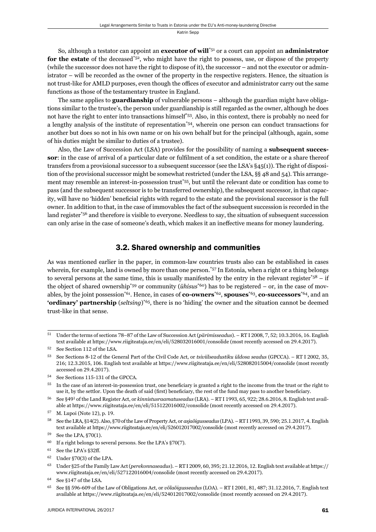So, although a testator can appoint an **executor of will**\*51 or a court can appoint an **administrator**  for the estate of the deceased<sup>\*52</sup>, who might have the right to possess, use, or dispose of the property (while the successor does not have the right to dispose of it), the successor – and not the executor or administrator – will be recorded as the owner of the property in the respective registers. Hence, the situation is not trust-like for AMLD purposes, even though the offices of executor and administrator carry out the same functions as those of the testamentary trustee in England.

The same applies to **guardianship** of vulnerable persons – although the guardian might have obligations similar to the trustee's, the person under guardianship is still regarded as the owner, although he does not have the right to enter into transactions himself\*53. Also, in this context, there is probably no need for a lengthy analysis of the institute of representation\*54, wherein one person can conduct transactions for another but does so not in his own name or on his own behalf but for the principal (although, again, some of his duties might be similar to duties of a trustee).

Also, the Law of Succession Act (LSA) provides for the possibility of naming a **subsequent successor**: in the case of arrival of a particular date or fulfilment of a set condition, the estate or a share thereof transfers from a provisional successor to a subsequent successor (see the LSA's §45(1)). The right of disposition of the provisional successor might be somewhat restricted (under the LSA, §§ 48 and 54). This arrangement may resemble an interest-in-possession trust\*55, but until the relevant date or condition has come to pass (and the subsequent successor is to be transferred ownership), the subsequent successor, in that capacity, will have no 'hidden' beneficial rights with regard to the estate and the provisional successor is the full owner. In addition to that, in the case of immovables the fact of the subsequent succession is recorded in the land register<sup>\*56</sup> and therefore is visible to everyone. Needless to say, the situation of subsequent succession can only arise in the case of someone's death, which makes it an ineffective means for money laundering.

#### 3.2. Shared ownership and communities

As was mentioned earlier in the paper, in common-law countries trusts also can be established in cases wherein, for example, land is owned by more than one person.<sup>\*57</sup> In Estonia, when a right or a thing belongs to several persons at the same time, this is usually manifested by the entry in the relevant register\* $5^8 - i$  if the object of shared ownership\*59 or community (*ühisus*\*60) has to be registered – or, in the case of movables, by the joint possession\*61. Hence, in cases of **co-owners**\*62, **spouses**\*63, **co-successors**\*64, and an **'ordinary' partnership** (*seltsing*)\*65, there is no 'hiding' the owner and the situation cannot be deemed trust-like in that sense.

<sup>&</sup>lt;sup>51</sup> Under the terms of sections 78–87 of the Law of Succession Act (*pärimisseadus*). – RT I 2008, 7, 52; 10.3.2016, 16. English text available at https://www.riigiteataja.ee/en/eli/528032016001/consolide (most recently accessed on 29.4.2017).

<sup>52</sup> See Section 112 of the LSA.

<sup>53</sup> See Sections 8-12 of the General Part of the Civil Code Act, or *tsiviilseadustiku üldosa seadus* (GPCCA). – RT I 2002, 35, 216; 12.3.2015, 106. English text available at https://www.riigiteataja.ee/en/eli/528082015004/consolide (most recently accessed on 29.4.2017).

 $^{54}$  See Sections 115-131 of the GPCCA.

<sup>&</sup>lt;sup>55</sup> In the case of an interest-in-possession trust, one beneficiary is granted a right to the income from the trust or the right to use it, by the settlor. Upon the death of said (first) beneficiary, the rest of the fund may pass to another beneficiary.

<sup>&</sup>lt;sup>56</sup> See §49<sup>1</sup> of the Land Register Act, or *kinnistusraamatuseadus* (LRA). – RT I 1993, 65, 922; 28.6.2016, 8. English text available at https://www.riigiteataja.ee/en/eli/515122016002/consolide (most recently accessed on 29.4.2017).

 $57$  M. Lupoi (Note 12), p. 19.

See the LRA, §14(2). Also, §70 of the Law of Property Act, or *asjaõigusseadus* (LPA). – RT I 1993, 39, 590; 25.1.2017, 4. English text available at https://www.riigiteataja.ee/en/eli/526012017002/consolide (most recently accessed on 29.4.2017).

 $59$  See the LPA,  $\S70(1)$ .

 $^{60}$  If a right belongs to several persons. See the LPA's §70(7).

 $61$  See the LPA's §32ff.

 $62$  Under §70(3) of the LPA.

<sup>&</sup>lt;sup>63</sup> Under §25 of the Family Law Act (*perekonnaseadus*). – RT I 2009, 60, 395; 21.12.2016, 12. English text available at https:// www.riigiteataja.ee/en/eli/527122016004/consolide (most recently accessed on 29.4.2017).

 $^{64}$  See §147 of the LSA.

ɷɶ See §§ ɶɺɷ-ɷɱɺ of the Law of Obligations Act, or *võlaõigusseadus* (LOA). – RT I ɳɱɱɲ, ɹɲ, ɵɹɸ; ɴɲ.ɲɳ.ɳɱɲɷ, ɸ. English text available at https://www.riigiteataja.ee/en/eli/524012017002/consolide (most recently accessed on 29.4.2017).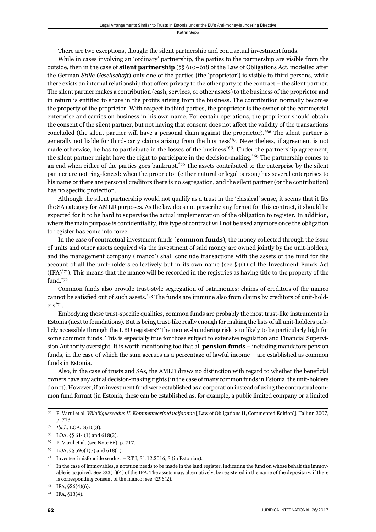There are two exceptions, though: the silent partnership and contractual investment funds.

While in cases involving an 'ordinary' partnership, the parties to the partnership are visible from the outside, then in the case of **silent partnership** (§§ 610–618 of the Law of Obligations Act, modelled after the German *Stille Gesellschaft*) only one of the parties (the 'proprietor') is visible to third persons, while there exists an internal relationship that offers privacy to the other party to the contract – the silent partner. The silent partner makes a contribution (cash, services, or other assets) to the business of the proprietor and in return is entitled to share in the profits arising from the business. The contribution normally becomes the property of the proprietor. With respect to third parties, the proprietor is the owner of the commercial enterprise and carries on business in his own name. For certain operations, the proprietor should obtain the consent of the silent partner, but not having that consent does not affect the validity of the transactions concluded (the silent partner will have a personal claim against the proprietor).\*66 The silent partner is generally not liable for third-party claims arising from the business\*67. Nevertheless, if agreement is not made otherwise, he has to participate in the losses of the business<sup>\*68</sup>. Under the partnership agreement, the silent partner might have the right to participate in the decision-making.\*69 The partnership comes to an end when either of the parties goes bankrupt.\*70 The assets contributed to the enterprise by the silent partner are not ring-fenced: when the proprietor (either natural or legal person) has several enterprises to his name or there are personal creditors there is no segregation, and the silent partner (or the contribution) has no specific protection.

Although the silent partnership would not qualify as a trust in the 'classical' sense, it seems that it fits the SA category for AMLD purposes. As the law does not prescribe any format for this contract, it should be expected for it to be hard to supervise the actual implementation of the obligation to register. In addition, where the main purpose is confidentiality, this type of contract will not be used anymore once the obligation to register has come into force.

In the case of contractual investment funds (**common funds**), the money collected through the issue of units and other assets acquired via the investment of said money are owned jointly by the unit-holders, and the management company ('manco') shall conclude transactions with the assets of the fund for the account of all the unit-holders collectively but in its own name (see §4(1) of the Investment Funds Act  $(IFA)<sup>*</sup>71$ . This means that the manco will be recorded in the registries as having title to the property of the fund.\*72

Common funds also provide trust-style segregation of patrimonies: claims of creditors of the manco cannot be satisfied out of such assets.\*73 The funds are immune also from claims by creditors of unit-holders\*74.

Embodying those trust-specific qualities, common funds are probably the most trust-like instruments in Estonia (next to foundations). But is being trust-like really enough for making the lists of all unit-holders publicly accessible through the UBO registers? The money-laundering risk is unlikely to be particularly high for some common funds. This is especially true for those subject to extensive regulation and Financial Supervision Authority oversight. It is worth mentioning too that all **pension funds** – including mandatory pension funds, in the case of which the sum accrues as a percentage of lawful income – are established as common funds in Estonia.

Also, in the case of trusts and SAs, the AMLD draws no distinction with regard to whether the beneficial owners have any actual decision-making rights (in the case of many common funds in Estonia, the unit-holders do not). However, if an investment fund were established as a corporation instead of using the contractual common fund format (in Estonia, these can be established as, for example, a public limited company or a limited

<sup>&</sup>lt;sup>66</sup> P. Varul et al. *Võlaõigusseadus II. Kommenteeritud väljaanne* ['Law of Obligations II. Commented Edition']. Tallinn 2007. p. 713.

 $67$  *Ibid.*; LOA, §610(3).

<sup>68</sup> LOA, §§ 614(1) and 618(2).

 $^{69}$  P. Varul et al. (see Note  $66$ ), p. 717.

 $70$  LOA, §§ 596(1)7) and 618(1).

 $71$  Investeerimisfondide seadus. – RT I, 31.12.2016, 3 (in Estonian).

 $72$  In the case of immovables, a notation needs to be made in the land register, indicating the fund on whose behalf the immovable is acquired. See §23(1)(4) of the IFA. The assets may, alternatively, be registered in the name of the depositary, if there is corresponding consent of the manco; see  $\S296(2)$ .

 $73$  IFA,  $$26(4)(6)$ .

<sup>74</sup> IFA, §13(4).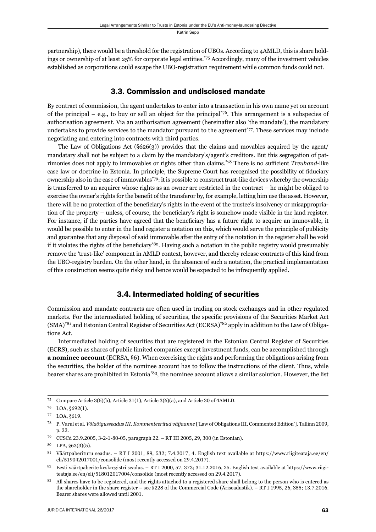partnership), there would be a threshold for the registration of UBOs. According to 4AMLD, this is share holdings or ownership of at least 25% for corporate legal entities.\*75 Accordingly, many of the investment vehicles established as corporations could escape the UBO-registration requirement while common funds could not.

#### 3.3. Commission and undisclosed mandate

By contract of commission, the agent undertakes to enter into a transaction in his own name yet on account of the principal – e.g., to buy or sell an object for the principal<sup>\*76</sup>. This arrangement is a subspecies of authorisation agreement. Via an authorisation agreement (hereinafter also 'the mandate'), the mandatary undertakes to provide services to the mandator pursuant to the agreement<sup>\*77</sup>. These services may include negotiating and entering into contracts with third parties.

The Law of Obligations Act  $(\S626(3))$  provides that the claims and movables acquired by the agent/ mandatary shall not be subject to a claim by the mandatary's/agent's creditors. But this segregation of patrimonies does not apply to immovables or rights other than claims.<sup>\*78</sup> There is no sufficient *Treuhand*-like case law or doctrine in Estonia. In principle, the Supreme Court has recognised the possibility of fiduciary ownership also in the case of immovables<sup>\*79</sup>: it is possible to construct trust-like devices whereby the ownership is transferred to an acquirer whose rights as an owner are restricted in the contract – he might be obliged to exercise the owner's rights for the benefit of the transferor by, for example, letting him use the asset. However, there will be no protection of the beneficiary's rights in the event of the trustee's insolvency or misappropriation of the property – unless, of course, the beneficiary's right is somehow made visible in the land register. For instance, if the parties have agreed that the beneficiary has a future right to acquire an immovable, it would be possible to enter in the land register a notation on this, which would serve the principle of publicity and guarantee that any disposal of said immovable after the entry of the notation in the register shall be void if it violates the rights of the beneficiary<sup>\*80</sup>. Having such a notation in the public registry would presumably remove the 'trust-like' component in AMLD context, however, and thereby release contracts of this kind from the UBO-registry burden. On the other hand, in the absence of such a notation, the practical implementation of this construction seems quite risky and hence would be expected to be infrequently applied.

### 3.4. Intermediated holding of securities

Commission and mandate contracts are often used in trading on stock exchanges and in other regulated markets. For the intermediated holding of securities, the specific provisions of the Securities Market Act (SMA)\*81 and Estonian Central Register of Securities Act (ECRSA)\*82 apply in addition to the Law of Obligations Act.

Intermediated holding of securities that are registered in the Estonian Central Register of Securities (ECRS), such as shares of public limited companies except investment funds, can be accomplished through **a nominee account** (ECRSA, §6). When exercising the rights and performing the obligations arising from the securities, the holder of the nominee account has to follow the instructions of the client. Thus, while bearer shares are prohibited in Estonia<sup>\*83</sup>, the nominee account allows a similar solution. However, the list

 $75$  Compare Article  $3(6)(b)$ , Article  $31(1)$ , Article  $3(6)(a)$ , and Article 30 of 4AMLD.

 $76$  LOA,  $§692(1)$ .

<sup>77</sup> LOA, §619.

<sup>&</sup>lt;sup>78</sup> P. Varul et al. *Võlaõigusseadus III. Kommenteeritud väljaanne* ['Law of Obligations III, Commented Edition']. Tallinn 2009, p. 22.

<sup>79</sup> CCSCd 23.9.2005, 3-2-1-80-05, paragraph 22. – RT III 2005, 29, 300 (in Estonian).

 $80$  LPA,  $§63(3)(5)$ .

<sup>81</sup> Väärtpaberituru seadus. – RT I 2001, 89, 532; 7.4.2017, 4. English text available at https://www.riigiteataja.ee/en/ eli/519042017001/consolide (most recently accessed on 29.4.2017).

<sup>&</sup>lt;sup>82</sup> Eesti väärtpaberite keskregistri seadus. – RT I 2000, 57, 373; 31.12.2016, 25. English text available at https://www.riigiteataja.ee/en/eli/518012017004/consolide (most recently accessed on 29.4.2017).

<sup>&</sup>lt;sup>83</sup> All shares have to be registered, and the rights attached to a registered share shall belong to the person who is entered as the shareholder in the share register – see §228 of the Commercial Code (Äriseadustik). – RT I 1995, 26, 355; 13.7.2016. Bearer shares were allowed until 2001.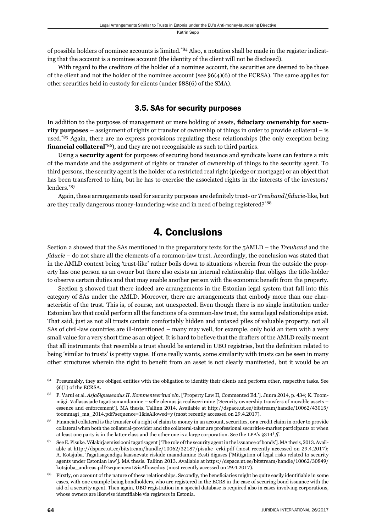of possible holders of nominee accounts is limited.\*84 Also, a notation shall be made in the register indicating that the account is a nominee account (the identity of the client will not be disclosed).

With regard to the creditors of the holder of a nominee account, the securities are deemed to be those of the client and not the holder of the nominee account (see  $\S6(4)(6)$  of the ECRSA). The same applies for other securities held in custody for clients (under §88(6) of the SMA).

#### 3.5. SAs for security purposes

In addition to the purposes of management or mere holding of assets, **fi duciary ownership for security purposes** – assignment of rights or transfer of ownership of things in order to provide collateral – is used.<sup>\*85</sup> Again, there are no express provisions regulating these relationships (the only exception being financial collateral<sup>\*86</sup>), and they are not recognisable as such to third parties.

Using a **security agent** for purposes of securing bond issuance and syndicate loans can feature a mix of the mandate and the assignment of rights or transfer of ownership of things to the security agent. To third persons, the security agent is the holder of a restricted real right (pledge or mortgage) or an object that has been transferred to him, but he has to exercise the associated rights in the interests of the investors/ lenders.\*87

Again, those arrangements used for security purposes are definitely trust- or *Treuhand/fiducie-like*, but are they really dangerous money-laundering-wise and in need of being registered?\*88

## 4. Conclusions

Section 2 showed that the SAs mentioned in the preparatory texts for the 5AMLD – the *Treuhand* and the *fiducie* – do not share all the elements of a common-law trust. Accordingly, the conclusion was stated that in the AMLD context being 'trust-like' rather boils down to situations wherein from the outside the property has one person as an owner but there also exists an internal relationship that obliges the title-holder to observe certain duties and that may enable another person with the economic benefi t from the property.

Section 3 showed that there indeed are arrangements in the Estonian legal system that fall into this category of SAs under the AMLD. Moreover, there are arrangements that embody more than one characteristic of the trust. This is, of course, not unexpected. Even though there is no single institution under Estonian law that could perform all the functions of a common-law trust, the same legal relationships exist. That said, just as not all trusts contain comfortably hidden and untaxed piles of valuable property, not all SAs of civil-law countries are ill-intentioned – many may well, for example, only hold an item with a very small value for a very short time as an object. It is hard to believe that the drafters of the AMLD really meant that all instruments that resemble a trust should be entered in UBO registries, but the definition related to being 'similar to trusts' is pretty vague. If one really wants, some similarity with trusts can be seen in many other structures wherein the right to benefit from an asset is not clearly manifested, but it would be an

<sup>&</sup>lt;sup>84</sup> Presumably, they are obliged entities with the obligation to identify their clients and perform other, respective tasks. See §6(1) of the ECRSA.

<sup>85</sup> P. Varul et al. *Asjaõigusseadus II. Kommenteeritud vln*. ['Property Law II, Commented Ed.']. Juura 2014, p. 434; K. Toommägi. Vallasasjade tagatisomandamine – selle olemus ja realiseerimine ['Security ownership transfers of movable assets – essence and enforcement']. MA thesis. Tallinn 2014. Available at http://dspace.ut.ee/bitstream/handle/10062/43015/ toommagi\_ma\_2014.pdf?sequence=1&isAllowed=y (most recently accessed on 29.4.2017).

<sup>&</sup>lt;sup>86</sup> Financial collateral is the transfer of a right of claim to money in an account, securities, or a credit claim in order to provide collateral when both the collateral-provider and the collateral-taker are professional securities-market participants or when at least one party is in the latter class and the other one is a large corporation. See the LPA's §314<sup>1</sup>ff.

 $87$  See E. Pisuke. Võlakirjaemissiooni tagatisagent ['The role of the security agent in the issuance of bonds']. MA thesis, 2013. Available at http://dspace.ut.ee/bitstream/handle/10062/32187/pisuke\_erki.pdf (most recently accessed on 29.4.2017); A. Kotsjuba. Tagatisagendiga kaasnevate riskide maandamine Eesti õiguses ['Mitigation of legal risks related to security agents under Estonian law']. MA thesis. Tallinn 2013. Available at https://dspace.ut.ee/bitstream/handle/10062/30849/ kotsjuba\_andreas.pdf?sequence=1&isAllowed=y (most recently accessed on 29.4.2017).

<sup>&</sup>lt;sup>88</sup> Firstly, on account of the nature of these relationships. Secondly, the beneficiaries might be quite easily identifiable in some cases, with one example being bondholders, who are registered in the ECRS in the case of securing bond issuance with the aid of a security agent. Then again, UBO registration in a special database is required also in cases involving corporations, whose owners are likewise identifiable via registers in Estonia.